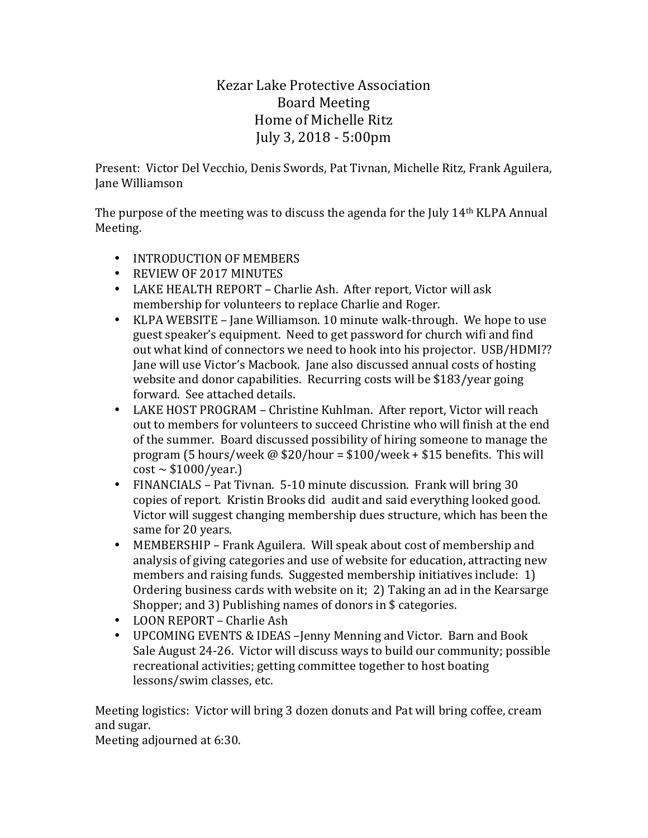## Kezar Lake Protective Association Board Meeting Home of Michelle Ritz July 3, 2018 - 5:00pm

Present: Victor Del Vecchio, Denis Swords, Pat Tivnan, Michelle Ritz, Frank Aguilera, Jane Williamson

The purpose of the meeting was to discuss the agenda for the July  $14<sup>th</sup>$  KLPA Annual Meeting.

- INTRODUCTION OF MEMBERS
- REVIEW OF 2017 MINUTES
- LAKE HEALTH REPORT Charlie Ash. After report, Victor will ask membership for volunteers to replace Charlie and Roger.
- KLPA WEBSITE Jane Williamson. 10 minute walk-through. We hope to use guest speaker's equipment. Need to get password for church wifi and find out what kind of connectors we need to hook into his projector. USB/HDMI?? Jane will use Victor's Macbook. Jane also discussed annual costs of hosting website and donor capabilities. Recurring costs will be \$183/year going forward. See attached details.
- LAKE HOST PROGRAM Christine Kuhlman. After report, Victor will reach out to members for volunteers to succeed Christine who will finish at the end of the summer. Board discussed possibility of hiring someone to manage the program (5 hours/week  $\omega$  \$20/hour = \$100/week + \$15 benefits. This will  $cost \sim $1000/year.$ )
- FINANCIALS Pat Tivnan. 5-10 minute discussion. Frank will bring 30 copies of report. Kristin Brooks did audit and said everything looked good. Victor will suggest changing membership dues structure, which has been the same for 20 years.
- MEMBERSHIP Frank Aguilera. Will speak about cost of membership and analysis of giving categories and use of website for education, attracting new members and raising funds. Suggested membership initiatives include: 1) Ordering business cards with website on it; 2) Taking an ad in the Kearsarge Shopper; and 3) Publishing names of donors in  $$$  categories.
- LOON REPORT Charlie Ash
- UPCOMING EVENTS & IDEAS -Jenny Menning and Victor. Barn and Book Sale August 24-26. Victor will discuss ways to build our community; possible recreational activities; getting committee together to host boating lessons/swim classes, etc.

Meeting logistics: Victor will bring 3 dozen donuts and Pat will bring coffee, cream and sugar.

Meeting adjourned at 6:30.